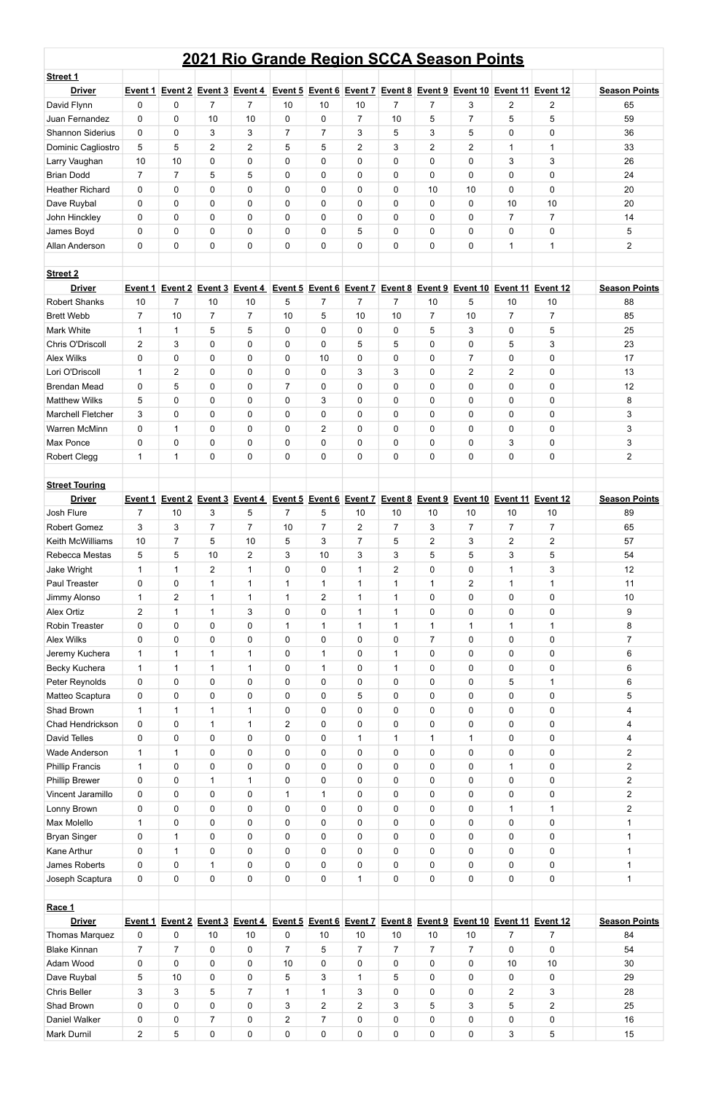## **2021 Rio Grande Region SCCA Season Points**

| Street 1                 |                |                    |                  |                 |                |                |                                        |                |                |                                            |                |                                                                                                           |                         |
|--------------------------|----------------|--------------------|------------------|-----------------|----------------|----------------|----------------------------------------|----------------|----------------|--------------------------------------------|----------------|-----------------------------------------------------------------------------------------------------------|-------------------------|
| <b>Driver</b>            | Event 1        | Event 2            |                  | Event 3 Event 4 |                |                | Event 5 Event 6 Event 7                |                |                | Event 8 Event 9 Event 10 Event 11 Event 12 |                |                                                                                                           | <b>Season Points</b>    |
| David Flynn              | 0              | 0                  | 7                | 7               | 10             | 10             | 10                                     | 7              | 7              | 3                                          | $\overline{2}$ | 2                                                                                                         | 65                      |
| Juan Fernandez           | $\mathbf 0$    | 0                  | 10               | 10              | $\pmb{0}$      | $\pmb{0}$      | 7                                      | 10             | 5              | $\overline{7}$                             | 5              | 5                                                                                                         | 59                      |
| <b>Shannon Siderius</b>  | $\mathbf{0}$   | 0                  | 3                | 3               | $\overline{7}$ | $\overline{7}$ | 3                                      | 5              | 3              | 5                                          | 0              | 0                                                                                                         | 36                      |
| Dominic Cagliostro       | 5              | 5                  | $\overline{c}$   | $\overline{2}$  | 5              | 5              | $\overline{2}$                         | 3              | $\overline{2}$ | $\overline{2}$                             | $\mathbf{1}$   | $\mathbf{1}$                                                                                              | 33                      |
| Larry Vaughan            | 10             | 10                 | $\pmb{0}$        | $\mathsf{O}$    | $\mathbf 0$    | $\mathbf 0$    | 0                                      | $\pmb{0}$      | $\pmb{0}$      | 0                                          | 3              | 3                                                                                                         | 26                      |
| <b>Brian Dodd</b>        | $\overline{7}$ | $\overline{7}$     | 5                | 5               | $\pmb{0}$      | $\mathbf 0$    | 0                                      | 0              | $\pmb{0}$      | $\pmb{0}$                                  | 0              | $\mathbf 0$                                                                                               | 24                      |
| <b>Heather Richard</b>   | $\mathbf{0}$   | 0                  | $\pmb{0}$        | $\mathbf 0$     | $\mathbf{0}$   | $\mathbf 0$    | 0                                      | 0              | 10             | 10                                         | $\pmb{0}$      | 0                                                                                                         | 20                      |
|                          | $\Omega$       |                    |                  |                 | $\Omega$       |                |                                        |                |                |                                            |                | 10                                                                                                        |                         |
| Dave Ruybal              |                | 0                  | $\mathbf 0$      | $\mathbf 0$     |                | $\mathbf 0$    | 0                                      | 0              | $\mathbf 0$    | $\mathbf 0$                                | 10             |                                                                                                           | 20                      |
| John Hinckley            | 0              | 0                  | 0                | $\mathbf 0$     | 0              | 0              | 0                                      | 0              | 0              | 0                                          | $\overline{7}$ | $\overline{7}$                                                                                            | 14                      |
| James Boyd               | $\mathbf 0$    | 0                  | 0                | $\mathbf 0$     | $\pmb{0}$      | $\mathbf 0$    | 5                                      | 0              | $\pmb{0}$      | $\pmb{0}$                                  | 0              | 0                                                                                                         | 5                       |
| Allan Anderson           | $\pmb{0}$      | 0                  | 0                | $\mathbf 0$     | $\Omega$       | $\mathbf 0$    | 0                                      | 0              | $\pmb{0}$      | 0                                          | 1              | $\mathbf{1}$                                                                                              | $\overline{2}$          |
|                          |                |                    |                  |                 |                |                |                                        |                |                |                                            |                |                                                                                                           |                         |
| <b>Street 2</b>          |                |                    |                  |                 |                |                |                                        |                |                |                                            |                |                                                                                                           |                         |
| <b>Driver</b>            | Event 1        | Event <sub>2</sub> | Event 3          | Event 4         |                |                | <b>Event 5 Event 6 Event 7 Event 8</b> |                |                | <b>Event 9 Event 10 Event 11 Event 12</b>  |                |                                                                                                           | <b>Season Points</b>    |
| <b>Robert Shanks</b>     | 10             | 7                  | 10               | 10              | 5              | 7              | 7                                      | 7              | 10             | 5                                          | 10             | 10                                                                                                        | 88                      |
| <b>Brett Webb</b>        | $\overline{7}$ | 10                 | $\overline{7}$   | $\overline{7}$  | 10             | 5              | 10                                     | 10             | $\overline{7}$ | 10                                         | $\overline{7}$ | $\overline{7}$                                                                                            | 85                      |
| <b>Mark White</b>        | $\mathbf{1}$   | $\mathbf 1$        | 5                | 5               | $\mathbf{0}$   | $\mathbf 0$    | 0                                      | 0              | 5              | 3                                          | 0              | 5                                                                                                         | 25                      |
| Chris O'Driscoll         | $\overline{2}$ | 3                  | 0                | $\mathsf{O}$    | $\pmb{0}$      | $\mathbf 0$    | 5                                      | 5              | $\pmb{0}$      | 0                                          | 5              | $\mathbf{3}$                                                                                              | 23                      |
| <b>Alex Wilks</b>        | $\mathbf{0}$   | 0                  | $\mathbf 0$      | $\mathbf 0$     | $\mathbf{0}$   | 10             | 0                                      | 0              | 0              | $\overline{7}$                             | 0              | 0                                                                                                         | 17                      |
| Lori O'Driscoll          | $\mathbf{1}$   | $\overline{2}$     | $\mathbf 0$      | $\mathbf 0$     | $\mathbf 0$    | $\mathbf 0$    | 3                                      | 3              | $\mathbf 0$    | $\overline{2}$                             | $\overline{2}$ | 0                                                                                                         | 13                      |
| <b>Brendan Mead</b>      | $\pmb{0}$      | 5                  | $\pmb{0}$        | $\pmb{0}$       | $\overline{7}$ | $\mathbf 0$    | 0                                      | $\pmb{0}$      | $\pmb{0}$      | 0                                          | $\pmb{0}$      | $\mathbf 0$                                                                                               | 12                      |
| <b>Matthew Wilks</b>     | 5              | 0                  | $\pmb{0}$        | $\mathbf 0$     | $\pmb{0}$      | 3              | 0                                      | 0              | $\pmb{0}$      | $\pmb{0}$                                  | 0              | 0                                                                                                         | 8                       |
| <b>Marchell Fletcher</b> | 3              | 0                  | $\pmb{0}$        | $\mathbf 0$     | $\mathbf{0}$   | $\mathbf 0$    | 0                                      | 0              | $\mathbf{0}$   | $\pmb{0}$                                  | $\pmb{0}$      | 0                                                                                                         | $\mathbf{3}$            |
| <b>Warren McMinn</b>     | $\Omega$       | $\mathbf{1}$       | $\mathbf 0$      | $\mathbf 0$     | $\mathbf 0$    | $\overline{2}$ | 0                                      | 0              | $\mathbf 0$    | $\mathbf 0$                                | 0              | 0                                                                                                         | $\mathbf{3}$            |
| Max Ponce                | 0              | 0                  | 0                | 0               | 0              | $\pmb{0}$      | 0                                      | 0              | 0              | 0                                          | 3              | 0                                                                                                         | 3                       |
| <b>Robert Clegg</b>      | 1              | 1                  | 0                | $\mathbf 0$     | 0              | $\mathbf 0$    | 0                                      | 0              | $\mathbf 0$    | 0                                          | 0              | 0                                                                                                         | $\overline{2}$          |
|                          |                |                    |                  |                 |                |                |                                        |                |                |                                            |                |                                                                                                           |                         |
| <b>Street Touring</b>    |                |                    |                  |                 |                |                |                                        |                |                |                                            |                |                                                                                                           |                         |
| <b>Driver</b>            | Event 1        | Event 2            |                  | Event 3 Event 4 |                |                |                                        |                |                |                                            |                | Event 5 Event 6 Event 7 Event 8 Event 9 Event 10 Event 11 Event 12                                        | <b>Season Points</b>    |
| Josh Flure               | $\overline{7}$ | 10                 | 3                | 5               | $\overline{7}$ | 5              | 10                                     | 10             | 10             | 10                                         | 10             | 10                                                                                                        | 89                      |
| <b>Robert Gomez</b>      | 3              | 3                  | $\overline{7}$   | $\overline{7}$  | 10             | $\overline{7}$ | 2                                      | 7              | 3              | 7                                          | $\overline{7}$ | $\overline{7}$                                                                                            | 65                      |
| Keith McWilliams         | 10             | $\overline{7}$     | 5                | 10              | 5              | 3              | $\overline{7}$                         | 5              | $\overline{2}$ | 3                                          | $\overline{2}$ | $\overline{2}$                                                                                            | 57                      |
| Rebecca Mestas           | 5              | 5                  | 10               | $\overline{2}$  | 3              | 10             | 3                                      | 3              | 5              | 5                                          | 3              | 5                                                                                                         | 54                      |
| Jake Wright              | $\mathbf{1}$   | 1                  | $\boldsymbol{2}$ | 1               | 0              | $\pmb{0}$      | 1                                      | 2              | $\pmb{0}$      | 0                                          | $\mathbf 1$    | 3                                                                                                         | 12                      |
| Paul Treaster            | $\mathbf{0}$   | 0                  | 1                | 1               | $\mathbf{1}$   | $\mathbf{1}$   | 1                                      | $\mathbf{1}$   | $\mathbf{1}$   | 2                                          | $\mathbf 1$    | $\mathbf{1}$                                                                                              | 11                      |
| Jimmy Alonso             | 1              | $\overline{2}$     | $\mathbf 1$      | 1               | 1              | $\overline{2}$ | 1                                      | $\mathbf{1}$   | 0              | 0                                          | 0              | 0                                                                                                         | 10                      |
| <b>Alex Ortiz</b>        | $\overline{2}$ | 1                  | $\mathbf 1$      | 3               | 0              | $\mathbf 0$    | 1                                      | $\mathbf{1}$   | $\pmb{0}$      | 0                                          | $\pmb{0}$      | $\mathbf 0$                                                                                               | 9                       |
| Robin Treaster           | $\pmb{0}$      | 0                  | 0                | $\mathbf 0$     | 1              | 1              | 1                                      | 1              | $\mathbf 1$    | $\mathbf 1$                                | 1              | $\mathbf{1}$                                                                                              | 8                       |
| <b>Alex Wilks</b>        | 0              | 0                  | 0                | 0               | 0              | 0              | 0                                      | 0              | $\overline{7}$ | 0                                          | 0              | 0                                                                                                         | $\overline{7}$          |
| Jeremy Kuchera           | 1              | $\mathbf{1}$       | $\mathbf 1$      | 1               | $\mathbf{0}$   | 1              | 0                                      | $\mathbf{1}$   | $\pmb{0}$      | $\pmb{0}$                                  | 0              | 0                                                                                                         | $\,6$                   |
| Becky Kuchera            | $\mathbf 1$    | 1                  | 1                | 1               | 0              | 1              | 0                                      | $\mathbf{1}$   | 0              | 0                                          | 0              | 0                                                                                                         | 6                       |
| Peter Reynolds           | $\mathbf 0$    | 0                  | 0                | $\pmb{0}$       | 0              | $\mathbf 0$    | 0                                      | 0              | $\pmb{0}$      | 0                                          | 5              | $\mathbf 1$                                                                                               | 6                       |
| Matteo Scaptura          | 0              | 0                  | 0                | 0               | 0              | 0              | 5                                      | 0              | 0              | 0                                          | 0              | 0                                                                                                         | 5                       |
| Shad Brown               | $\mathbf{1}$   | 1                  | $\mathbf 1$      | 1               | $\Omega$       | 0              | 0                                      | 0              | $\mathbf 0$    | 0                                          | 0              | 0                                                                                                         | $\overline{\mathbf{4}}$ |
| Chad Hendrickson         | $\mathbf 0$    | 0                  | 1                | 1               | $\overline{2}$ | $\mathbf 0$    | 0                                      | $\pmb{0}$      | $\pmb{0}$      | 0                                          | $\pmb{0}$      | $\mathbf 0$                                                                                               | 4                       |
| David Telles             | 0              | 0                  | 0                | $\pmb{0}$       | $\pmb{0}$      | 0              | 1                                      | 1              | 1              | $\mathbf 1$                                | 0              | 0                                                                                                         |                         |
|                          | $\mathbf 1$    | 1                  |                  | $\mathbf 0$     |                | $\mathbf{0}$   |                                        |                |                |                                            | $\pmb{0}$      | 0                                                                                                         | $\overline{\mathbf{4}}$ |
| <b>Wade Anderson</b>     |                |                    | 0                |                 | 0              |                | 0                                      | 0              | 0              | 0                                          |                |                                                                                                           | $\overline{2}$          |
| <b>Phillip Francis</b>   | $\mathbf{1}$   | 0                  | 0                | $\mathbf 0$     | 0              | $\mathbf 0$    | 0                                      | 0              | $\pmb{0}$      | 0                                          | $\mathbf{1}$   | 0                                                                                                         | $\overline{2}$          |
| Phillip Brewer           | 0              | 0                  | 1                | 1               | 0              | 0              | 0                                      | 0              | 0              | 0                                          | 0              | 0                                                                                                         | $\overline{2}$          |
| Vincent Jaramillo        | $\pmb{0}$      | 0                  | 0                | $\pmb{0}$       | 1              | 1              | 0                                      | 0              | $\pmb{0}$      | 0                                          | 0              | 0                                                                                                         | $\overline{2}$          |
| Lonny Brown              | $\mathbf{0}$   | 0                  | 0                | $\mathbf 0$     | $\mathbf{0}$   | $\mathbf{0}$   | 0                                      | 0              | 0              | 0                                          | 1              | $\mathbf 1$                                                                                               | $\overline{2}$          |
| Max Molello              | 1              | 0                  | 0                | $\mathbf 0$     | $\pmb{0}$      | 0              | 0                                      | 0              | 0              | 0                                          | 0              | 0                                                                                                         | $\mathbf 1$             |
| <b>Bryan Singer</b>      | $\mathbf 0$    | 1                  | 0                | $\pmb{0}$       | 0              | $\mathbf 0$    | 0                                      | $\pmb{0}$      | $\pmb{0}$      | 0                                          | $\pmb{0}$      | $\mathbf 0$                                                                                               |                         |
| Kane Arthur              | 0              | 1                  | 0                | $\mathbf 0$     | 0              | 0              | 0                                      | 0              | 0              | 0                                          | 0              | 0                                                                                                         | 1                       |
| James Roberts            | 0              | 0                  | 1                | 0               | 0              | $\Omega$       | 0                                      | $\Omega$       | $\Omega$       | 0                                          | 0              | $\Omega$                                                                                                  | 1                       |
| Joseph Scaptura          | $\mathbf 0$    | 0                  | 0                | $\mathsf{O}$    | 0              | $\mathbf 0$    | 1                                      | 0              | $\mathbf 0$    | $\mathbf 0$                                | 0              | 0                                                                                                         | $\mathbf 1$             |
|                          |                |                    |                  |                 |                |                |                                        |                |                |                                            |                |                                                                                                           |                         |
| Race 1                   |                |                    |                  |                 |                |                |                                        |                |                |                                            |                |                                                                                                           |                         |
| <b>Driver</b>            |                |                    |                  |                 |                |                |                                        |                |                |                                            |                | <u>Event 1 Event 2 Event 3 Event 4 Event 5 Event 6 Event 7 Event 8 Event 9 Event 10 Event 11 Event 12</u> | <b>Season Points</b>    |
| Thomas Marquez           | 0              | 0                  | 10               | 10              | 0              | 10             | 10                                     | 10             | 10             | 10                                         | $\overline{7}$ | $\overline{7}$                                                                                            | 84                      |
| <b>Blake Kinnan</b>      | $\overline{7}$ | $\overline{7}$     | 0                | $\mathsf{O}$    | $\overline{7}$ | 5              | $\overline{7}$                         | $\overline{7}$ | $\overline{7}$ | $\overline{7}$                             | 0              | $\mathbf 0$                                                                                               | 54                      |
| Adam Wood                | $\mathsf{O}$   | 0                  | 0                | $\mathsf{O}$    | 10             | $\mathbf 0$    | 0                                      | $\pmb{0}$      | $\mathbf 0$    | $\pmb{0}$                                  | 10             | 10                                                                                                        | 30                      |
| Dave Ruybal              | 5              | 10                 | $\pmb{0}$        | $\mathsf{O}$    | 5              | 3              | 1                                      | 5              | $\pmb{0}$      | $\pmb{0}$                                  | 0              | $\pmb{0}$                                                                                                 | 29                      |
| Chris Beller             | 3              | 3                  | 5                | $\overline{7}$  | $\mathbf{1}$   | $\mathbf{1}$   | 3                                      | $\pmb{0}$      | $\mathsf{O}$   | $\pmb{0}$                                  | $\overline{2}$ | 3                                                                                                         | 28                      |
| Shad Brown               | 0              | 0                  | 0                | $\mathsf{O}$    | 3              | $\overline{2}$ | $\overline{2}$                         | 3              | 5              | 3                                          | 5              | $\overline{2}$                                                                                            | 25                      |
| Daniel Walker            | $\pmb{0}$      | 0                  | $\overline{7}$   | $\pmb{0}$       | $\overline{2}$ | $\overline{7}$ | 0                                      | $\pmb{0}$      | $\pmb{0}$      | $\pmb{0}$                                  | 0              | $\pmb{0}$                                                                                                 | 16                      |
| Mark Durnil              | $\overline{2}$ | 5                  | $\pmb{0}$        | $\mathsf{O}$    | 0              | $\mathbf 0$    | 0                                      | $\pmb{0}$      | $\mathbf 0$    | $\pmb{0}$                                  | 3              | 5                                                                                                         | 15                      |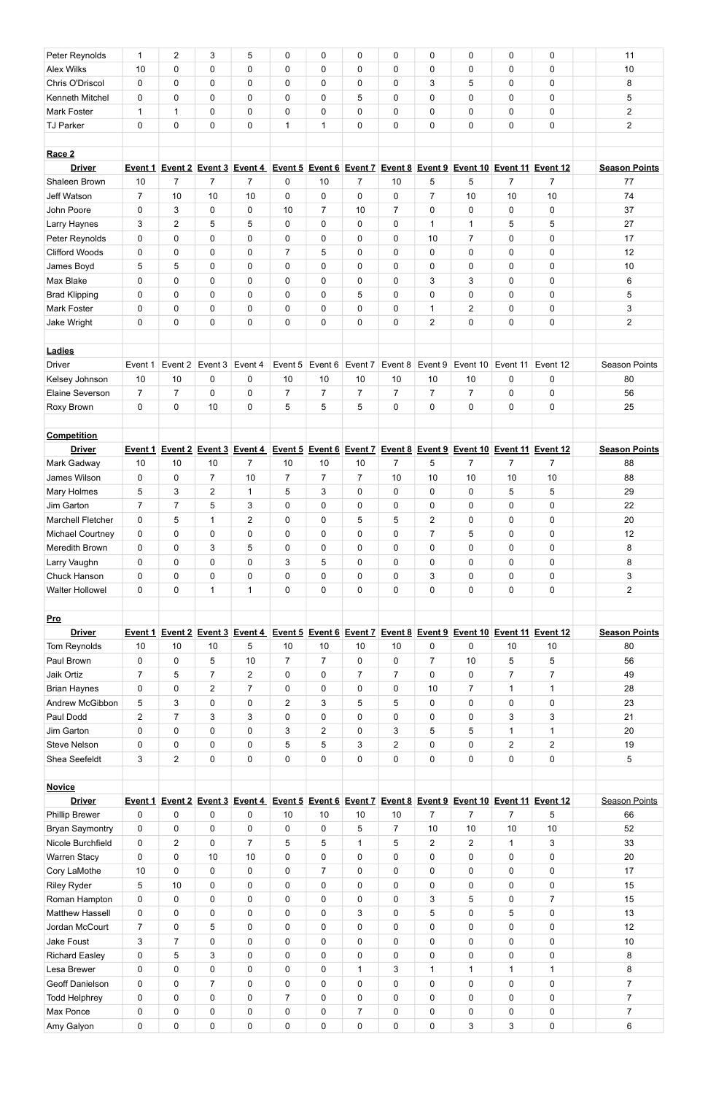| Peter Reynolds          | 1              | 2                      | 3                         | 5                                          | 0              | 0              | 0                                     | 0                      | 0              | 0                                                                                                 | $\mathbf 0$                            | 0              | 11                   |
|-------------------------|----------------|------------------------|---------------------------|--------------------------------------------|----------------|----------------|---------------------------------------|------------------------|----------------|---------------------------------------------------------------------------------------------------|----------------------------------------|----------------|----------------------|
|                         |                |                        |                           |                                            |                |                |                                       |                        |                |                                                                                                   |                                        |                |                      |
| <b>Alex Wilks</b>       | 10             | 0                      | $\mathbf 0$               | $\mathbf 0$                                | 0              | $\mathbf 0$    | 0                                     | 0                      | $\mathbf 0$    | 0                                                                                                 | $\pmb{0}$                              | 0              | 10                   |
| Chris O'Driscol         | $\mathbf 0$    | 0                      | 0                         | $\mathbf 0$                                | $\mathbf 0$    | $\mathbf 0$    | 0                                     | $\mathbf 0$            | 3              | 5                                                                                                 | $\pmb{0}$                              | 0              | 8                    |
| Kenneth Mitchel         | $\mathbf 0$    | 0                      | $\pmb{0}$                 | $\mathbf 0$                                | 0              | $\mathbf 0$    | 5                                     | 0                      | $\mathbf 0$    | 0                                                                                                 | $\mathbf 0$                            | 0              | 5                    |
| <b>Mark Foster</b>      | 1              | 1                      | 0                         | $\mathbf 0$                                | $\mathbf{0}$   | 0              | 0                                     | 0                      | $\mathbf 0$    | 0                                                                                                 | $\mathbf 0$                            | 0              | $\overline{c}$       |
| <b>TJ Parker</b>        | $\mathbf 0$    | 0                      | $\pmb{0}$                 | $\mathbf 0$                                | $\mathbf{1}$   | $\mathbf 1$    | 0                                     | 0                      | $\mathbf 0$    | 0                                                                                                 | $\pmb{0}$                              | 0              | $\overline{2}$       |
|                         |                |                        |                           |                                            |                |                |                                       |                        |                |                                                                                                   |                                        |                |                      |
|                         |                |                        |                           |                                            |                |                |                                       |                        |                |                                                                                                   |                                        |                |                      |
| Race 2                  |                |                        |                           |                                            |                |                |                                       |                        |                |                                                                                                   |                                        |                |                      |
| <b>Driver</b>           | Event 1        | Event 2                |                           | Event 3 Event 4                            |                |                |                                       |                        |                | Event 5 Event 6 Event 7 Event 8 Event 9 Event 10 Event 11 Event 12                                |                                        |                | <b>Season Points</b> |
| Shaleen Brown           | 10             | $\overline{7}$         | $\overline{7}$            | $\overline{7}$                             | 0              | 10             | 7                                     | 10                     | 5              | 5                                                                                                 | $\overline{7}$                         | $\overline{7}$ | 77                   |
| Jeff Watson             | $\overline{7}$ | 10                     | 10                        | 10                                         | 0              | 0              | 0                                     | 0                      | $\overline{7}$ | 10                                                                                                | 10                                     | 10             | 74                   |
| John Poore              | $\pmb{0}$      | 3                      | $\pmb{0}$                 | $\mathbf 0$                                | 10             | $\overline{7}$ | 10                                    | $\overline{7}$         | $\mathbf 0$    | 0                                                                                                 | $\pmb{0}$                              | 0              | 37                   |
| Larry Haynes            | 3              | $\overline{2}$         | 5                         | 5                                          | $\mathbf{0}$   | 0              | 0                                     | $\mathbf 0$            | $\mathbf{1}$   | $\mathbf{1}$                                                                                      | 5                                      | 5              | 27                   |
|                         |                |                        |                           |                                            |                |                |                                       |                        |                |                                                                                                   |                                        |                |                      |
| Peter Reynolds          | 0              | 0                      | $\pmb{0}$                 | $\mathbf 0$                                | $\mathbf 0$    | 0              | 0                                     | 0                      | 10             | 7                                                                                                 | $\pmb{0}$                              | 0              | 17                   |
| <b>Clifford Woods</b>   | $\mathbf 0$    | 0                      | 0                         | $\mathbf 0$                                | $\overline{7}$ | 5              | 0                                     | $\pmb{0}$              | $\mathbf 0$    | 0                                                                                                 | $\pmb{0}$                              | 0              | 12                   |
| James Boyd              | 5              | 5                      | 0                         | $\mathbf 0$                                | 0              | 0              | 0                                     | 0                      | 0              | 0                                                                                                 | $\pmb{0}$                              | 0              | 10                   |
| Max Blake               | 0              | 0                      | 0                         | $\mathbf 0$                                | 0              | 0              | 0                                     | 0                      | 3              | 3                                                                                                 | $\mathbf 0$                            | 0              | 6                    |
| <b>Brad Klipping</b>    | $\mathbf 0$    | 0                      | 0                         | $\mathbf 0$                                | $\mathbf 0$    | $\mathbf 0$    | 5                                     | $\mathbf 0$            | $\mathbf 0$    | 0                                                                                                 | $\pmb{0}$                              | 0              | 5                    |
| <b>Mark Foster</b>      | 0              | 0                      | 0                         | $\mathbf 0$                                | 0              | 0              | 0                                     | 0                      | $\mathbf 1$    | $\overline{2}$                                                                                    | $\pmb{0}$                              | 0              | 3                    |
| Jake Wright             | $\mathbf 0$    | 0                      | $\pmb{0}$                 | $\mathbf 0$                                | 0              | $\mathbf 0$    | 0                                     | 0                      | $\overline{2}$ | 0                                                                                                 | $\pmb{0}$                              | 0              | $\overline{2}$       |
|                         |                |                        |                           |                                            |                |                |                                       |                        |                |                                                                                                   |                                        |                |                      |
|                         |                |                        |                           |                                            |                |                |                                       |                        |                |                                                                                                   |                                        |                |                      |
| Ladies                  |                |                        |                           |                                            |                |                |                                       |                        |                |                                                                                                   |                                        |                |                      |
| <b>Driver</b>           | Event          | Event 2                | Event 3                   | Event 4                                    | Event 5        | Event 6        | Event 7                               | Event 8                | Event 9        | Event 10                                                                                          | Event 11                               | Event 12       | Season Points        |
| Kelsey Johnson          | 10             | 10                     | 0                         | $\mathbf 0$                                | 10             | 10             | 10                                    | 10                     | 10             | 10                                                                                                | $\mathbf 0$                            | 0              | 80                   |
| Elaine Severson         | $\overline{7}$ | $\overline{7}$         | $\mathbf 0$               | $\mathbf 0$                                | $\overline{7}$ | $\overline{7}$ | 7                                     | $\overline{7}$         | $\overline{7}$ | 7                                                                                                 | $\mathbf 0$                            | 0              | 56                   |
| Roxy Brown              | $\overline{0}$ | 0                      | 10                        | $\mathbf 0$                                | 5              | 5              | 5                                     | 0                      | $\mathbf 0$    | 0                                                                                                 | $\pmb{0}$                              | 0              | 25                   |
|                         |                |                        |                           |                                            |                |                |                                       |                        |                |                                                                                                   |                                        |                |                      |
|                         |                |                        |                           |                                            |                |                |                                       |                        |                |                                                                                                   |                                        |                |                      |
| <b>Competition</b>      |                |                        |                           |                                            |                |                |                                       |                        |                |                                                                                                   |                                        |                |                      |
| <b>Driver</b>           | Event $1$      |                        |                           |                                            |                |                |                                       |                        |                | <u>Event 2 Event 3 Event 4 Event 5 Event 6 Event 7 Event 8 Event 9 Event 10 Event 11 Event 12</u> |                                        |                | <b>Season Points</b> |
| Mark Gadway             | 10             | 10                     | 10                        | 7                                          | 10             | 10             | 10                                    | 7                      | 5              | 7                                                                                                 | 7                                      | 7              | 88                   |
| James Wilson            | $\mathbf 0$    | 0                      | $\overline{7}$            | 10                                         | $\overline{7}$ | $\overline{7}$ | $\overline{7}$                        | 10                     | 10             | 10                                                                                                | 10                                     | 10             | 88                   |
| Mary Holmes             | 5              | 3                      | $\overline{c}$            | $\mathbf{1}$                               | 5              | 3              | 0                                     | 0                      | 0              | 0                                                                                                 | 5                                      | 5              | 29                   |
| Jim Garton              | $\overline{7}$ | $\overline{7}$         | 5                         | 3                                          | 0              | 0              | 0                                     | 0                      | 0              | 0                                                                                                 | $\pmb{0}$                              | 0              | 22                   |
| Marchell Fletcher       | $\mathbf 0$    | 5                      | $\mathbf{1}$              | $\overline{2}$                             | 0              | $\mathbf 0$    | 5                                     | 5                      | $\overline{2}$ | 0                                                                                                 | $\pmb{0}$                              | 0              | 20                   |
|                         |                |                        |                           |                                            |                |                |                                       |                        |                |                                                                                                   |                                        |                |                      |
| Michael Courtney        | 0              | 0                      | 0                         | $\mathbf 0$                                | 0              | 0              | 0                                     | 0                      | $\overline{7}$ | 5                                                                                                 | $\pmb{0}$                              | 0              | 12                   |
|                         |                |                        |                           |                                            |                |                |                                       |                        |                |                                                                                                   |                                        |                |                      |
| Meredith Brown          | $\mathbf 0$    | 0                      | 3                         | 5                                          | $\mathbf 0$    | 0              | 0                                     | $\pmb{0}$              | $\mathbf 0$    | 0                                                                                                 | $\pmb{0}$                              | 0              | 8                    |
| Larry Vaughn            | $\mathbf 0$    | 0                      | 0                         | $\mathbf 0$                                | 3              | 5              | 0                                     | 0                      | 0              | 0                                                                                                 | $\pmb{0}$                              | 0              | 8                    |
| Chuck Hanson            | 0              | 0                      | 0                         | 0                                          | 0              | $\mathbf 0$    | 0                                     | 0                      | 3              | 0                                                                                                 | 0                                      | 0              | 3                    |
| Walter Hollowel         | $\mathbf 0$    | 0                      | 1                         | 1                                          | 0              | $\mathbf 0$    | 0                                     | $\pmb{0}$              | $\mathbf 0$    | 0                                                                                                 | $\pmb{0}$                              | 0              | $\overline{c}$       |
|                         |                |                        |                           |                                            |                |                |                                       |                        |                |                                                                                                   |                                        |                |                      |
|                         |                |                        |                           |                                            |                |                |                                       |                        |                |                                                                                                   |                                        |                |                      |
| <b>Pro</b>              |                |                        |                           |                                            |                |                |                                       |                        |                |                                                                                                   |                                        |                |                      |
| <b>Driver</b>           | Event 1        | Event 2                |                           | Event 3 Event 4                            |                |                |                                       |                        |                | Event 5 Event 6 Event 7 Event 8 Event 9 Event 10 Event 11 Event 12                                |                                        |                | <b>Season Points</b> |
| Tom Reynolds            | 10             | 10                     | 10                        | 5                                          | 10             | 10             | 10                                    | 10                     | 0              | 0                                                                                                 | 10                                     | 10             | 80                   |
| Paul Brown              | $\pmb{0}$      | 0                      | 5                         | 10                                         | $\overline{7}$ | $\overline{7}$ | 0                                     | 0                      | $\overline{7}$ | 10                                                                                                | $\sqrt{5}$                             | 5              | 56                   |
| Jaik Ortiz              | $\overline{7}$ | 5                      | $\overline{7}$            | $\overline{2}$                             | 0              | 0              | $\overline{7}$                        | $\overline{7}$         | 0              | 0                                                                                                 | $\overline{7}$                         | $\overline{7}$ | 49                   |
| <b>Brian Haynes</b>     | $\mathbf{0}$   | 0                      | $\overline{c}$            | $\overline{7}$                             | 0              | 0              | 0                                     | 0                      | 10             | 7                                                                                                 | $\mathbf 1$                            | 1              | 28                   |
|                         |                |                        |                           |                                            |                |                |                                       |                        |                |                                                                                                   |                                        |                |                      |
| Andrew McGibbon         | 5              | 3                      | 0                         | $\mathbf 0$                                | $\overline{2}$ | 3              | 5                                     | 5                      | 0              | $\mathbf 0$                                                                                       | $\pmb{0}$                              | 0              | 23                   |
| Paul Dodd               | $\overline{2}$ | $\overline{7}$         | 3                         | 3                                          | 0              | $\mathbf 0$    | 0                                     | 0                      | 0              | 0                                                                                                 | $\mathbf{3}$                           | 3              | 21                   |
| Jim Garton              | $\mathbf{0}$   | 0                      | 0                         | $\mathbf 0$                                | 3              | $\overline{2}$ | 0                                     | 3                      | 5              | 5                                                                                                 | $\mathbf 1$                            | $\mathbf 1$    | 20                   |
| <b>Steve Nelson</b>     | $\mathbf 0$    | 0                      | 0                         | $\mathbf 0$                                | 5              | 5              | 3                                     | $\overline{c}$         | $\mathbf 0$    | 0                                                                                                 | $\overline{2}$                         | $\overline{2}$ | 19                   |
| Shea Seefeldt           | 3              | $\overline{2}$         | 0                         | 0                                          | 0              | 0              | 0                                     | 0                      | 0              | 0                                                                                                 | $\pmb{0}$                              | 0              | 5                    |
|                         |                |                        |                           |                                            |                |                |                                       |                        |                |                                                                                                   |                                        |                |                      |
| <b>Novice</b>           |                |                        |                           |                                            |                |                |                                       |                        |                |                                                                                                   |                                        |                |                      |
| <b>Driver</b>           | Event 1        | Event 2                |                           | Event 3 Event 4                            |                |                |                                       |                        |                | Event 5 Event 6 Event 7 Event 8 Event 9 Event 10 Event 11 Event 12                                |                                        |                | <b>Season Points</b> |
|                         |                |                        |                           |                                            |                |                |                                       |                        |                |                                                                                                   |                                        |                |                      |
| <b>Phillip Brewer</b>   | $\pmb{0}$      | 0                      | 0                         | $\mathbf 0$                                | 10             | 10             | 10                                    | 10                     | $\overline{7}$ | $\overline{7}$                                                                                    | $\overline{7}$                         | 5              | 66                   |
| <b>Bryan Saymontry</b>  | 0              | 0                      | 0                         | $\mathbf 0$                                | 0              | 0              | 5                                     | $\overline{7}$         | 10             | 10                                                                                                | 10                                     | 10             | 52                   |
| Nicole Burchfield       | 0              | $\overline{2}$         | 0                         | 7                                          | 5              | 5              | 1                                     | 5                      | $\overline{2}$ | $\overline{2}$                                                                                    | 1                                      | 3              | 33                   |
| <b>Warren Stacy</b>     | $\mathbf 0$    | 0                      | 10                        | 10                                         | 0              | 0              | 0                                     | $\mathbf 0$            | 0              | 0                                                                                                 | $\pmb{0}$                              | 0              | 20                   |
| Cory LaMothe            | 10             | 0                      | $\mathbf 0$               | $\mathbf 0$                                | $\mathbf 0$    | $\overline{7}$ | $\mathbf 0$                           | 0                      | 0              | 0                                                                                                 | $\pmb{0}$                              | $\pmb{0}$      | 17                   |
| <b>Riley Ryder</b>      | 5              | 10                     | 0                         | $\mathsf{O}$                               | $\mathsf 0$    | $\pmb{0}$      | 0                                     | $\pmb{0}$              | $\pmb{0}$      | $\pmb{0}$                                                                                         | $\pmb{0}$                              | 0              | 15                   |
| Roman Hampton           | $\mathbf 0$    | 0                      | $\mathsf 0$               | $\mathbf 0$                                | $\mathbf 0$    | $\mathbf 0$    | 0                                     | $\mathbf 0$            | 3              | 5                                                                                                 | $\pmb{0}$                              | $\overline{7}$ | 15                   |
| <b>Matthew Hassell</b>  | $\mathbf 0$    | 0                      |                           |                                            |                | 0              |                                       |                        |                |                                                                                                   |                                        |                |                      |
|                         |                |                        | $\pmb{0}$                 | $\mathbf 0$                                | $\mathbf 0$    |                | 3                                     | 0                      | 5              | 0                                                                                                 | $\sqrt{5}$                             | 0              | 13                   |
| Jordan McCourt          | $\overline{7}$ | 0                      | 5                         | $\mathsf{O}$                               | $\mathbf 0$    | $\pmb{0}$      | $\pmb{0}$                             | $\mathbf 0$            | $\pmb{0}$      | 0                                                                                                 | $\pmb{0}$                              | $\pmb{0}$      | 12                   |
| Jake Foust              | 3              | $\overline{7}$         | $\mathsf{O}\xspace$       | $\mathbf 0$                                | $\mathbf 0$    | 0              | 0                                     | $\pmb{0}$              | $\pmb{0}$      | 0                                                                                                 | $\pmb{0}$                              | 0              | 10                   |
| <b>Richard Easley</b>   | $\mathbf 0$    | 5                      | $\ensuremath{\mathsf{3}}$ | $\mathbf 0$                                | $\mathsf 0$    | $\pmb{0}$      | 0                                     | $\pmb{0}$              | $\pmb{0}$      | $\pmb{0}$                                                                                         | $\pmb{0}$                              | $\pmb{0}$      | 8                    |
| Lesa Brewer             | $\mathbf 0$    | 0                      | $\mathbf 0$               | $\mathsf{O}$                               | $\mathbf 0$    | 0              | $\mathbf{1}$                          | 3                      | $\mathbf 1$    | $\mathbf{1}$                                                                                      | $\mathbf{1}$                           | $\mathbf{1}$   | 8                    |
| <b>Geoff Danielson</b>  | 0              | 0                      | $\overline{7}$            | $\mathbf 0$                                | $\mathbf 0$    | 0              | $\pmb{0}$                             | 0                      | 0              | 0                                                                                                 | $\pmb{0}$                              | 0              | $\overline{7}$       |
| <b>Todd Helphrey</b>    | $\mathbf 0$    | 0                      | $\mathsf{O}\xspace$       | $\mathbf 0$                                | $\overline{7}$ | $\pmb{0}$      | $\pmb{0}$                             | $\pmb{0}$              | $\pmb{0}$      | $\mathbf 0$                                                                                       | $\pmb{0}$                              | 0              | $\overline{7}$       |
|                         | $\mathbf 0$    |                        |                           |                                            |                | 0              |                                       |                        |                | 0                                                                                                 |                                        |                |                      |
| Max Ponce<br>Amy Galyon | $\pmb{0}$      | $\pmb{0}$<br>$\pmb{0}$ | $\mathbf 0$<br>$\pmb{0}$  | $\mathsf{O}\xspace$<br>$\mathsf{O}\xspace$ | 0<br>$\pmb{0}$ | $\pmb{0}$      | $\overline{7}$<br>$\mathsf{O}\xspace$ | $\pmb{0}$<br>$\pmb{0}$ | $\pmb{0}$<br>0 | $\mathfrak{S}$                                                                                    | $\pmb{0}$<br>$\ensuremath{\mathsf{3}}$ | 0<br>$\pmb{0}$ | $\overline{7}$<br>6  |